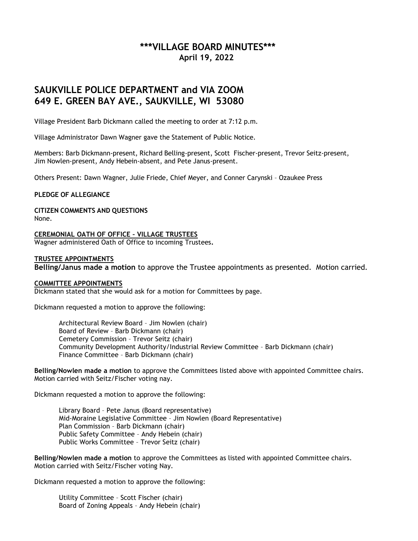# **\*\*\*VILLAGE BOARD MINUTES\*\*\* April 19, 2022**

# **SAUKVILLE POLICE DEPARTMENT and VIA ZOOM 649 E. GREEN BAY AVE., SAUKVILLE, WI 53080**

Village President Barb Dickmann called the meeting to order at 7:12 p.m.

Village Administrator Dawn Wagner gave the Statement of Public Notice.

Members: Barb Dickmann-present, Richard Belling-present, Scott Fischer-present, Trevor Seitz-present, Jim Nowlen-present, Andy Hebein-absent, and Pete Janus-present.

Others Present: Dawn Wagner, Julie Friede, Chief Meyer, and Conner Carynski – Ozaukee Press

#### **PLEDGE OF ALLEGIANCE**

**CITIZEN COMMENTS AND QUESTIONS** None.

**CEREMONIAL OATH OF OFFICE – VILLAGE TRUSTEES** Wagner administered Oath of Office to incoming Trustees**.**

## **TRUSTEE APPOINTMENTS**

**Belling/Janus made a motion** to approve the Trustee appointments as presented. Motion carried.

#### **COMMITTEE APPOINTMENTS**

Dickmann stated that she would ask for a motion for Committees by page.

Dickmann requested a motion to approve the following:

Architectural Review Board – Jim Nowlen (chair) Board of Review – Barb Dickmann (chair) Cemetery Commission – Trevor Seitz (chair) Community Development Authority/Industrial Review Committee – Barb Dickmann (chair) Finance Committee – Barb Dickmann (chair)

**Belling/Nowlen made a motion** to approve the Committees listed above with appointed Committee chairs. Motion carried with Seitz/Fischer voting nay.

Dickmann requested a motion to approve the following:

Library Board – Pete Janus (Board representative) Mid-Moraine Legislative Committee – Jim Nowlen (Board Representative) Plan Commission – Barb Dickmann (chair) Public Safety Committee – Andy Hebein (chair) Public Works Committee – Trevor Seitz (chair)

**Belling/Nowlen made a motion** to approve the Committees as listed with appointed Committee chairs. Motion carried with Seitz/Fischer voting Nay.

Dickmann requested a motion to approve the following:

Utility Committee – Scott Fischer (chair) Board of Zoning Appeals – Andy Hebein (chair)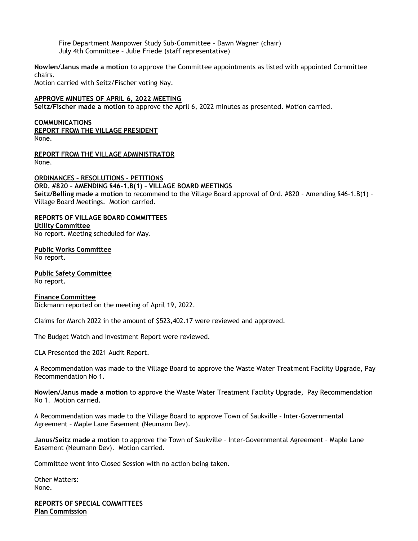Fire Department Manpower Study Sub-Committee – Dawn Wagner (chair) July 4th Committee – Julie Friede (staff representative)

**Nowlen/Janus made a motion** to approve the Committee appointments as listed with appointed Committee chairs.

Motion carried with Seitz/Fischer voting Nay.

## **APPROVE MINUTES OF APRIL 6, 2022 MEETING**

**Seitz/Fischer made a motion** to approve the April 6, 2022 minutes as presented. Motion carried.

#### **COMMUNICATIONS REPORT FROM THE VILLAGE PRESIDENT** None.

**REPORT FROM THE VILLAGE ADMINISTRATOR** None.

**ORDINANCES – RESOLUTIONS – PETITIONS ORD. #820 – AMENDING §46-1.B(1) – VILLAGE BOARD MEETINGS Seitz/Belling made a motion** to recommend to the Village Board approval of Ord. #820 – Amending §46-1.B(1) – Village Board Meetings. Motion carried.

# **REPORTS OF VILLAGE BOARD COMMITTEES Utility Committee**

No report. Meeting scheduled for May.

**Public Works Committee** No report.

**Public Safety Committee** No report.

## **Finance Committee**

Dickmann reported on the meeting of April 19, 2022.

Claims for March 2022 in the amount of \$523,402.17 were reviewed and approved.

The Budget Watch and Investment Report were reviewed.

CLA Presented the 2021 Audit Report.

A Recommendation was made to the Village Board to approve the Waste Water Treatment Facility Upgrade, Pay Recommendation No 1.

**Nowlen/Janus made a motion** to approve the Waste Water Treatment Facility Upgrade, Pay Recommendation No 1. Motion carried.

A Recommendation was made to the Village Board to approve Town of Saukville – Inter-Governmental Agreement – Maple Lane Easement (Neumann Dev).

**Janus/Seitz made a motion** to approve the Town of Saukville – Inter-Governmental Agreement – Maple Lane Easement (Neumann Dev). Motion carried.

Committee went into Closed Session with no action being taken.

Other Matters: None.

**REPORTS OF SPECIAL COMMITTEES Plan Commission**